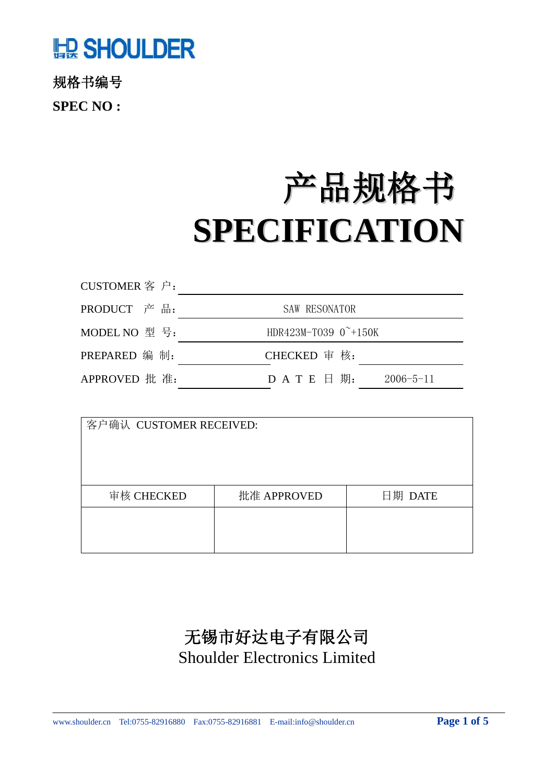# **LE SHOULDER**

规格书编号 **SPEC NO :**

# 产品规格书 **SPECIFICATION**

| CUSTOMER 客户:  |                                     |
|---------------|-------------------------------------|
| PRODUCT 产品:   | <b>SAW RESONATOR</b>                |
| MODEL NO 型号:  | HDR423M-T039 $0^{\sim}+150$ K       |
| PREPARED 编 制: | CHECKED 审核:                         |
| APPROVED 批 准: | $D$ A T E $H$ 期:<br>$2006 - 5 - 11$ |

| 客户确认 CUSTOMER RECEIVED: |             |         |  |  |  |
|-------------------------|-------------|---------|--|--|--|
|                         |             |         |  |  |  |
|                         |             |         |  |  |  |
|                         |             |         |  |  |  |
|                         |             |         |  |  |  |
| 审核 CHECKED              | 批准 APPROVED | 日期 DATE |  |  |  |
|                         |             |         |  |  |  |
|                         |             |         |  |  |  |
|                         |             |         |  |  |  |

## 无锡市好达电子有限公司 Shoulder Electronics Limited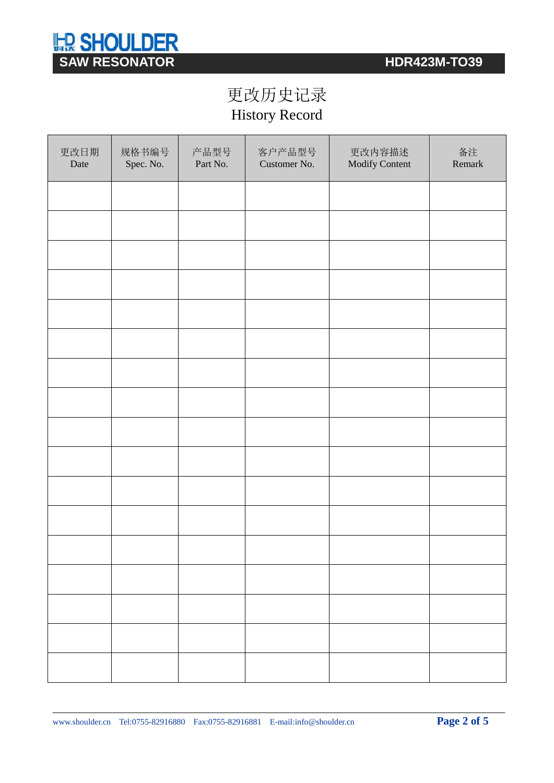

## 更改历史记录 History Record

| 更改日期<br>Date | 规格书编号<br>Spec. No. | 产品型号<br>Part No. | 客户产品型号<br>Customer No. | 更改内容描述<br>Modify Content | 备注<br>Remark |
|--------------|--------------------|------------------|------------------------|--------------------------|--------------|
|              |                    |                  |                        |                          |              |
|              |                    |                  |                        |                          |              |
|              |                    |                  |                        |                          |              |
|              |                    |                  |                        |                          |              |
|              |                    |                  |                        |                          |              |
|              |                    |                  |                        |                          |              |
|              |                    |                  |                        |                          |              |
|              |                    |                  |                        |                          |              |
|              |                    |                  |                        |                          |              |
|              |                    |                  |                        |                          |              |
|              |                    |                  |                        |                          |              |
|              |                    |                  |                        |                          |              |
|              |                    |                  |                        |                          |              |
|              |                    |                  |                        |                          |              |
|              |                    |                  |                        |                          |              |
|              |                    |                  |                        |                          |              |
|              |                    |                  |                        |                          |              |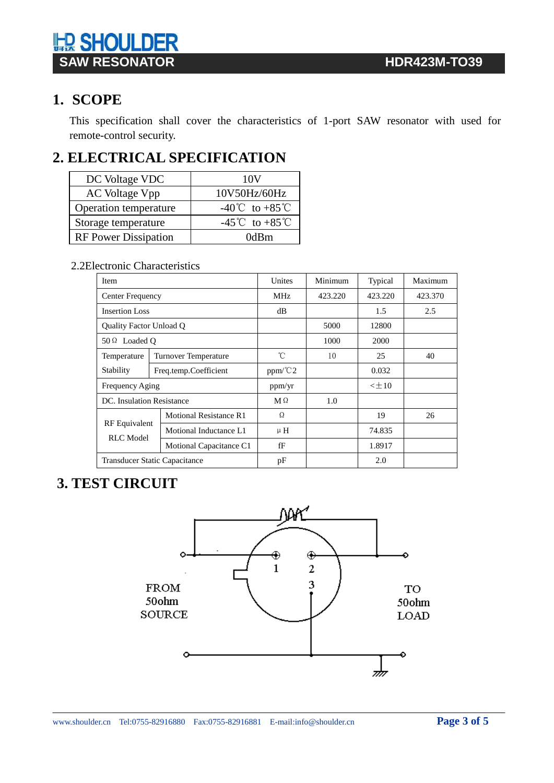

## **1. SCOPE**

This specification shall cover the characteristics of 1-port SAW resonator with used for remote-control security.

## **2. ELECTRICAL SPECIFICATION**

| DC Voltage VDC              | 10V            |  |  |
|-----------------------------|----------------|--|--|
| AC Voltage Vpp              | 10V50Hz/60Hz   |  |  |
| Operation temperature       | -40°C to +85°C |  |  |
| Storage temperature         | -45°C to +85°C |  |  |
| <b>RF Power Dissipation</b> | 0dBm           |  |  |

#### 2.2Electronic Characteristics

| <b>Item</b>                       |                               | Unites          | Minimum | Typical   | Maximum |
|-----------------------------------|-------------------------------|-----------------|---------|-----------|---------|
| Center Frequency                  |                               | MH <sub>z</sub> | 423.220 | 423.220   | 423.370 |
| <b>Insertion Loss</b>             |                               | dB              |         | 1.5       | 2.5     |
| <b>Quality Factor Unload Q</b>    |                               |                 | 5000    | 12800     |         |
| $50 \Omega$ Loaded O              |                               |                 | 1000    | 2000      |         |
| Temperature                       | <b>Turnover Temperature</b>   | °C              | 10      | 25        | 40      |
| Stability                         | Freq.temp.Coefficient         | $ppm$ /°C2      |         | 0.032     |         |
| Frequency Aging                   |                               | ppm/yr          |         | $<\pm 10$ |         |
| DC. Insulation Resistance         |                               | $M \Omega$      | 1.0     |           |         |
|                                   | <b>Motional Resistance R1</b> | Ω               |         | 19        | 26      |
| <b>RF</b> Equivalent<br>RLC Model | Motional Inductance L1        | $\mu$ H         |         | 74.835    |         |
|                                   | Motional Capacitance C1       | fF              |         | 1.8917    |         |
| Transducer Static Capacitance     |                               | pF              |         | 2.0       |         |

#### **3. TEST CIRCUIT**

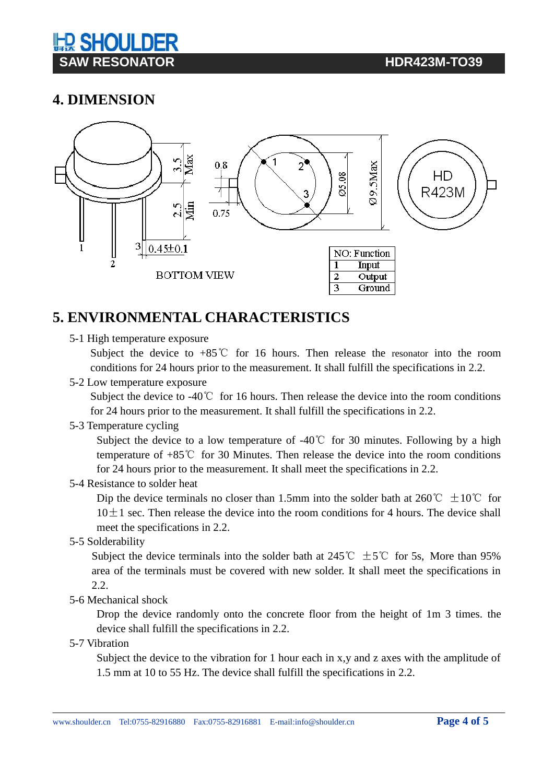# **IED SHOUL DE SAW RESONATOR CONVERTISION CONTRACTS IN THE RESONATOR**

## **4. DIMENSION**



## **5. ENVIRONMENTAL CHARACTERISTICS**

5-1 High temperature exposure

Subject the device to  $+85^{\circ}$  for 16 hours. Then release the resonator into the room conditions for 24 hours prior to the measurement. It shall fulfill the specifications in 2.2.

5-2 Low temperature exposure

Subject the device to -40℃ for 16 hours. Then release the device into the room conditions for 24 hours prior to the measurement. It shall fulfill the specifications in 2.2.

5-3 Temperature cycling

Subject the device to a low temperature of  $-40^{\circ}$  for 30 minutes. Following by a high temperature of +85℃ for 30 Minutes. Then release the device into the room conditions for 24 hours prior to the measurement. It shall meet the specifications in 2.2.

5-4 Resistance to solder heat

Dip the device terminals no closer than 1.5mm into the solder bath at 260°C  $\pm 10^{\circ}$ C for  $10±1$  sec. Then release the device into the room conditions for 4 hours. The device shall meet the specifications in 2.2.

5-5 Solderability

Subject the device terminals into the solder bath at 245°C  $\pm$  5°C for 5s, More than 95% area of the terminals must be covered with new solder. It shall meet the specifications in 2.2.

5-6 Mechanical shock

Drop the device randomly onto the concrete floor from the height of 1m 3 times. the device shall fulfill the specifications in 2.2.

5-7 Vibration

Subject the device to the vibration for 1 hour each in x,y and z axes with the amplitude of 1.5 mm at 10 to 55 Hz. The device shall fulfill the specifications in 2.2.